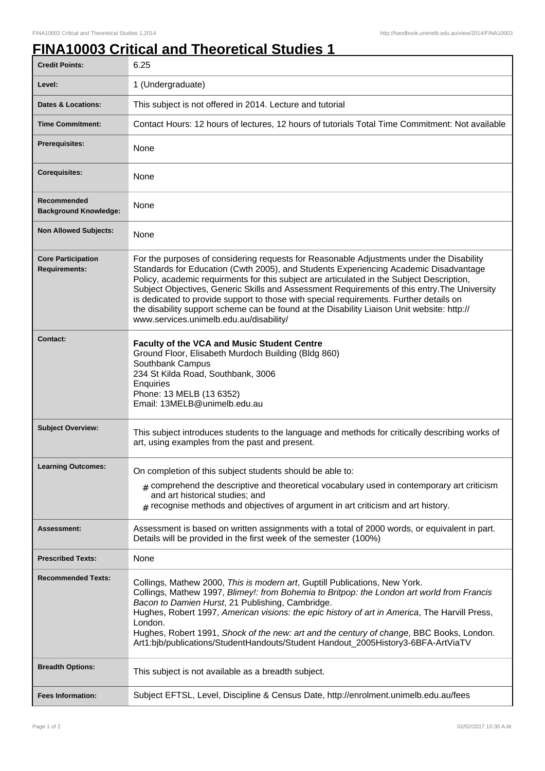## **FINA10003 Critical and Theoretical Studies 1**

| <b>Credit Points:</b>                             | 6.25                                                                                                                                                                                                                                                                                                                                                                                                                                                                                                                                                                                                             |
|---------------------------------------------------|------------------------------------------------------------------------------------------------------------------------------------------------------------------------------------------------------------------------------------------------------------------------------------------------------------------------------------------------------------------------------------------------------------------------------------------------------------------------------------------------------------------------------------------------------------------------------------------------------------------|
| Level:                                            | 1 (Undergraduate)                                                                                                                                                                                                                                                                                                                                                                                                                                                                                                                                                                                                |
| <b>Dates &amp; Locations:</b>                     | This subject is not offered in 2014. Lecture and tutorial                                                                                                                                                                                                                                                                                                                                                                                                                                                                                                                                                        |
| <b>Time Commitment:</b>                           | Contact Hours: 12 hours of lectures, 12 hours of tutorials Total Time Commitment: Not available                                                                                                                                                                                                                                                                                                                                                                                                                                                                                                                  |
| <b>Prerequisites:</b>                             | None                                                                                                                                                                                                                                                                                                                                                                                                                                                                                                                                                                                                             |
| <b>Corequisites:</b>                              | None                                                                                                                                                                                                                                                                                                                                                                                                                                                                                                                                                                                                             |
| Recommended<br><b>Background Knowledge:</b>       | None                                                                                                                                                                                                                                                                                                                                                                                                                                                                                                                                                                                                             |
| <b>Non Allowed Subjects:</b>                      | None                                                                                                                                                                                                                                                                                                                                                                                                                                                                                                                                                                                                             |
| <b>Core Participation</b><br><b>Requirements:</b> | For the purposes of considering requests for Reasonable Adjustments under the Disability<br>Standards for Education (Cwth 2005), and Students Experiencing Academic Disadvantage<br>Policy, academic requirments for this subject are articulated in the Subject Description,<br>Subject Objectives, Generic Skills and Assessment Requirements of this entry. The University<br>is dedicated to provide support to those with special requirements. Further details on<br>the disability support scheme can be found at the Disability Liaison Unit website: http://<br>www.services.unimelb.edu.au/disability/ |
| <b>Contact:</b>                                   | <b>Faculty of the VCA and Music Student Centre</b><br>Ground Floor, Elisabeth Murdoch Building (Bldg 860)<br>Southbank Campus<br>234 St Kilda Road, Southbank, 3006<br>Enquiries<br>Phone: 13 MELB (13 6352)<br>Email: 13MELB@unimelb.edu.au                                                                                                                                                                                                                                                                                                                                                                     |
| <b>Subject Overview:</b>                          | This subject introduces students to the language and methods for critically describing works of<br>art, using examples from the past and present.                                                                                                                                                                                                                                                                                                                                                                                                                                                                |
| <b>Learning Outcomes:</b>                         | On completion of this subject students should be able to:<br>$_{\text{\#}}$ comprehend the descriptive and theoretical vocabulary used in contemporary art criticism<br>and art historical studies; and<br>$#$ recognise methods and objectives of argument in art criticism and art history.                                                                                                                                                                                                                                                                                                                    |
| Assessment:                                       | Assessment is based on written assignments with a total of 2000 words, or equivalent in part.<br>Details will be provided in the first week of the semester (100%)                                                                                                                                                                                                                                                                                                                                                                                                                                               |
| <b>Prescribed Texts:</b>                          | None                                                                                                                                                                                                                                                                                                                                                                                                                                                                                                                                                                                                             |
| <b>Recommended Texts:</b>                         | Collings, Mathew 2000, This is modern art, Guptill Publications, New York.<br>Collings, Mathew 1997, Blimey!: from Bohemia to Britpop: the London art world from Francis<br>Bacon to Damien Hurst, 21 Publishing, Cambridge.<br>Hughes, Robert 1997, American visions: the epic history of art in America, The Harvill Press,<br>London.<br>Hughes, Robert 1991, Shock of the new: art and the century of change, BBC Books, London.<br>Art1:bjb/publications/StudentHandouts/Student Handout_2005History3-6BFA-ArtViaTV                                                                                         |
| <b>Breadth Options:</b>                           | This subject is not available as a breadth subject.                                                                                                                                                                                                                                                                                                                                                                                                                                                                                                                                                              |
| <b>Fees Information:</b>                          | Subject EFTSL, Level, Discipline & Census Date, http://enrolment.unimelb.edu.au/fees                                                                                                                                                                                                                                                                                                                                                                                                                                                                                                                             |